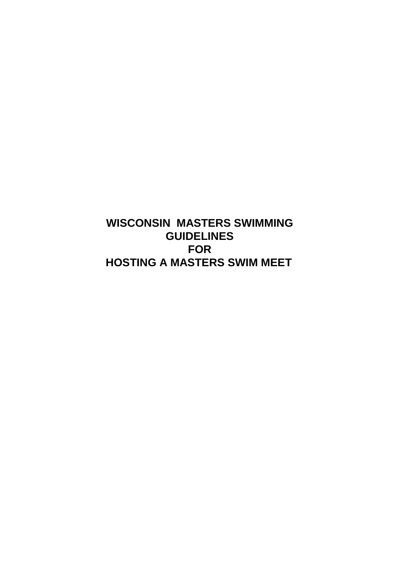**WISCONSIN MASTERS SWIMMING GUIDELINES FOR HOSTING A MASTERS SWIM MEET**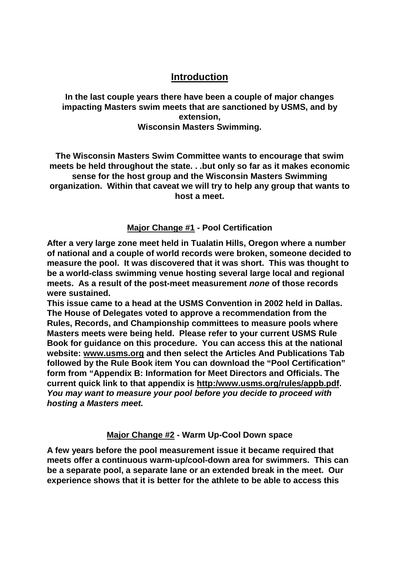## **Introduction**

**In the last couple years there have been a couple of major changes impacting Masters swim meets that are sanctioned by USMS, and by extension, Wisconsin Masters Swimming.**

**The Wisconsin Masters Swim Committee wants to encourage that swim meets be held throughout the state. . .but only so far as it makes economic sense for the host group and the Wisconsin Masters Swimming organization. Within that caveat we will try to help any group that wants to host a meet.**

#### **Major Change #1 - Pool Certification**

**After a very large zone meet held in Tualatin Hills, Oregon where a number of national and a couple of world records were broken, someone decided to measure the pool. It was discovered that it was short. This was thought to be a world-class swimming venue hosting several large local and regional meets. As a result of the post-meet measurement** *none* **of those records were sustained.**

**This issue came to a head at the USMS Convention in 2002 held in Dallas. The House of Delegates voted to approve a recommendation from the Rules, Records, and Championship committees to measure pools where Masters meets were being held. Please refer to your current USMS Rule Book for guidance on this procedure. You can access this at the national website: www.usms.org and then select the Articles And Publications Tab followed by the Rule Book item You can download the "Pool Certification" form from "Appendix B: Information for Meet Directors and Officials. The current quick link to that appendix is http:/www.usms.org/rules/appb.pdf.** *You may want to measure your pool before you decide to proceed with hosting a Masters meet.*

#### **Major Change #2 - Warm Up-Cool Down space**

**A few years before the pool measurement issue it became required that meets offer a continuous warm-up/cool-down area for swimmers. This can be a separate pool, a separate lane or an extended break in the meet. Our experience shows that it is better for the athlete to be able to access this**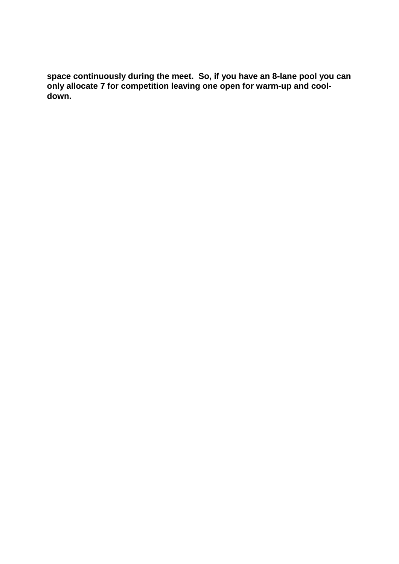**space continuously during the meet. So, if you have an 8-lane pool you can only allocate 7 for competition leaving one open for warm-up and cooldown.**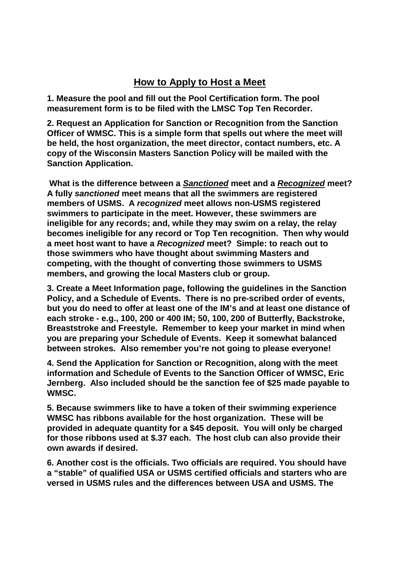# **How to Apply to Host a Meet**

**1. Measure the pool and fill out the Pool Certification form. The pool measurement form is to be filed with the LMSC Top Ten Recorder.**

**2. Request an Application for Sanction or Recognition from the Sanction Officer of WMSC. This is a simple form that spells out where the meet will be held, the host organization, the meet director, contact numbers, etc. A copy of the Wisconsin Masters Sanction Policy will be mailed with the Sanction Application.**

**What is the difference between a** *Sanctioned* **meet and a** *Recognized* **meet? A fully** *sanctioned* **meet means that all the swimmers are registered members of USMS. A** *recognized* **meet allows non-USMS registered swimmers to participate in the meet. However, these swimmers are ineligible for any records; and, while they may swim on a relay, the relay becomes ineligible for any record or Top Ten recognition. Then why would a meet host want to have a** *Recognized* **meet? Simple: to reach out to those swimmers who have thought about swimming Masters and competing, with the thought of converting those swimmers to USMS members, and growing the local Masters club or group.**

**3. Create a Meet Information page, following the guidelines in the Sanction Policy, and a Schedule of Events. There is no pre-scribed order of events, but you do need to offer at least one of the IM's and at least one distance of each stroke - e.g., 100, 200 or 400 IM; 50, 100, 200 of Butterfly, Backstroke, Breaststroke and Freestyle. Remember to keep your market in mind when you are preparing your Schedule of Events. Keep it somewhat balanced between strokes. Also remember you're not going to please everyone!**

**4. Send the Application for Sanction or Recognition, along with the meet information and Schedule of Events to the Sanction Officer of WMSC, Eric Jernberg. Also included should be the sanction fee of \$25 made payable to WMSC.**

**5. Because swimmers like to have a token of their swimming experience WMSC has ribbons available for the host organization. These will be provided in adequate quantity for a \$45 deposit. You will only be charged for those ribbons used at \$.37 each. The host club can also provide their own awards if desired.**

**6. Another cost is the officials. Two officials are required. You should have a "stable" of qualified USA or USMS certified officials and starters who are versed in USMS rules and the differences between USA and USMS. The**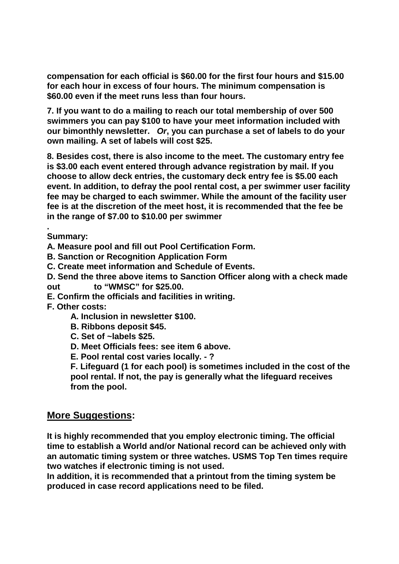**compensation for each official is \$60.00 for the first four hours and \$15.00 for each hour in excess of four hours. The minimum compensation is \$60.00 even if the meet runs less than four hours.**

**7. If you want to do a mailing to reach our total membership of over 500 swimmers you can pay \$100 to have your meet information included with our bimonthly newsletter.** *Or***, you can purchase a set of labels to do your own mailing. A set of labels will cost \$25.**

**8. Besides cost, there is also income to the meet. The customary entry fee is \$3.00 each event entered through advance registration by mail. If you choose to allow deck entries, the customary deck entry fee is \$5.00 each event. In addition, to defray the pool rental cost, a per swimmer user facility fee may be charged to each swimmer. While the amount of the facility user fee is at the discretion of the meet host, it is recommended that the fee be in the range of \$7.00 to \$10.00 per swimmer**

**. Summary:**

**A. Measure pool and fill out Pool Certification Form.**

**B. Sanction or Recognition Application Form**

**C. Create meet information and Schedule of Events.**

**D. Send the three above items to Sanction Officer along with a check made out to "WMSC" for \$25.00.**

**E. Confirm the officials and facilities in writing.**

**F. Other costs:**

**A. Inclusion in newsletter \$100.**

**B. Ribbons deposit \$45.**

**C. Set of ~labels \$25.**

**D. Meet Officials fees: see item 6 above.**

**E. Pool rental cost varies locally. - ?**

**F. Lifeguard (1 for each pool) is sometimes included in the cost of the pool rental. If not, the pay is generally what the lifeguard receives from the pool.**

### **More Suggestions:**

**It is highly recommended that you employ electronic timing. The official time to establish a World and/or National record can be achieved only with an automatic timing system or three watches. USMS Top Ten times require two watches if electronic timing is not used.**

**In addition, it is recommended that a printout from the timing system be produced in case record applications need to be filed.**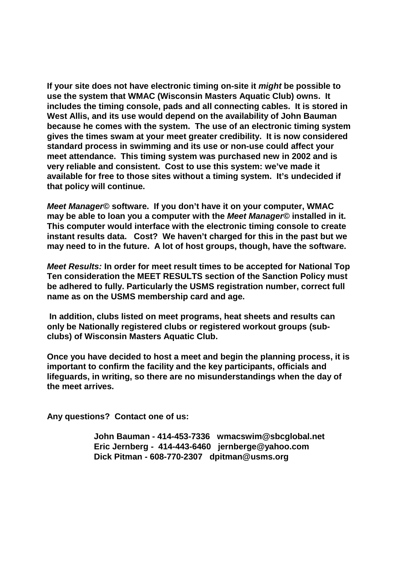**If your site does not have electronic timing on-site it** *might* **be possible to use the system that WMAC (Wisconsin Masters Aquatic Club) owns. It includes the timing console, pads and all connecting cables. It is stored in West Allis, and its use would depend on the availability of John Bauman because he comes with the system. The use of an electronic timing system gives the times swam at your meet greater credibility. It is now considered standard process in swimming and its use or non-use could affect your meet attendance. This timing system was purchased new in 2002 and is very reliable and consistent. Cost to use this system: we've made it available for free to those sites without a timing system. It's undecided if that policy will continue.**

*Meet Manager©* **software. If you don't have it on your computer, WMAC may be able to loan you a computer with the** *Meet Manager©* **installed in it. This computer would interface with the electronic timing console to create instant results data. Cost? We haven't charged for this in the past but we may need to in the future. A lot of host groups, though, have the software.**

*Meet Results:* **In order for meet result times to be accepted for National Top Ten consideration the MEET RESULTS section of the Sanction Policy must be adhered to fully. Particularly the USMS registration number, correct full name as on the USMS membership card and age.**

**In addition, clubs listed on meet programs, heat sheets and results can only be Nationally registered clubs or registered workout groups (subclubs) of Wisconsin Masters Aquatic Club.**

**Once you have decided to host a meet and begin the planning process, it is important to confirm the facility and the key participants, officials and lifeguards, in writing, so there are no misunderstandings when the day of the meet arrives.**

**Any questions? Contact one of us:**

**John Bauman - 414-453-7336 wmacswim@sbcglobal.net Eric Jernberg - 414-443-6460 jernberge@yahoo.com Dick Pitman - 608-770-2307 dpitman@usms.org**